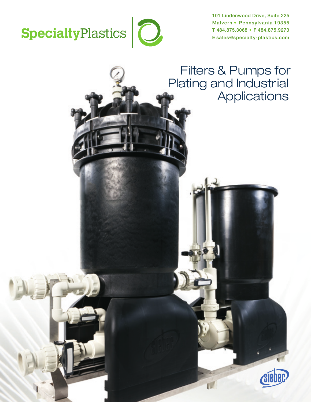

101 Lindenwood Drive, Suite 225 Malvern • Pennsylvania 19355 T 484.875.3068 • F 484.875.9273 E sales@specialty-plastics.com

## Filters & Pumps for Plating and Industrial **Applications**

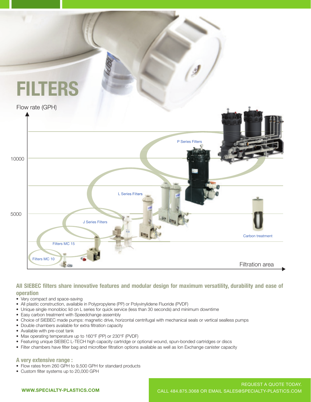

#### **All SIEBEC filters share innovative features and modular design for maximum versatility, durability and ease of operation**

- Very compact and space-saving
- All plastic construction, available in Polypropylene (PP) or Polyvinylidene Fluoride (PVDF)
- Unique single monobloc lid on L series for quick service (less than 30 seconds) and minimum downtime
- Easy carbon treatment with Speedchange assembly
- Choice of SIEBEC made pumps: magnetic drive, horizontal centrifugal with mechanical seals or vertical sealless pumps
- Double chambers available for extra filtration capacity
- Available with pre-coat tank
- Max operating temperature up to 160°F (PP) or 230°F (PVDF)
- Featuring unique SIEBEC L-TECH high capacity cartridge or optional wound, spun-bonded cartridges or discs
- Filter chambers have filter bag and microfiber filtration options available as well as Ion Exchange canister capacity

**A very extensive range :**

- Flow rates from 260 GPH to 9,500 GPH for standard products
- Custom filter systems up to 20,000 GPH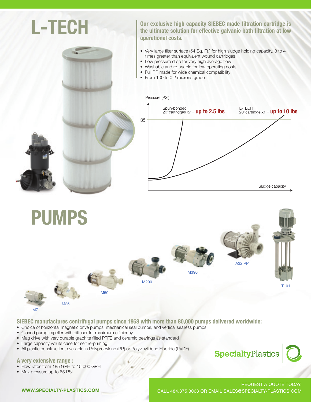

M290 **M50** M390 A32 PP T101 M7 M25  $\sim$  $\mathcal{A}_{\mathcal{A}}$  $\sim$  $\Box$ M7  $\Delta z$  $\geq$ M50  $\blacksquare$ 

M7

SIEBEC manufactures centrifugal pumps since 1958 with more than 80,000 pumps delivered worldwide:

- Choice of horizontal magnetic drive pumps, mechanical seal pumps, and vertical sealless pumps
- Closed pump impeller with diffuser for maximum efficiency<br>• Closed pump impeller with diffuser for maximum efficiency
- Mag drive with very durable graphite filled PTFE and ceramic bearings as standard
- Large capacity volute case for self re-priming

M<sub>25</sub>

• All plastic construction, available in Polypropylene (PP) or Polyvinylidene Fluoride (PVDF)

**A** very extensive range : **A very extensive range :** 

- Flow rates from 185 GPH to 15,000 GPH
- Max pressure up to 65 PSI

# REQUEST A QUOTE TODAY.

**SpecialtyPlastics** 

CALL 484.875.3068 OR EMAIL SALES@SPECIALTY-PLASTICS.COM

WWW.SPECIALTY-PLASTICS.COM